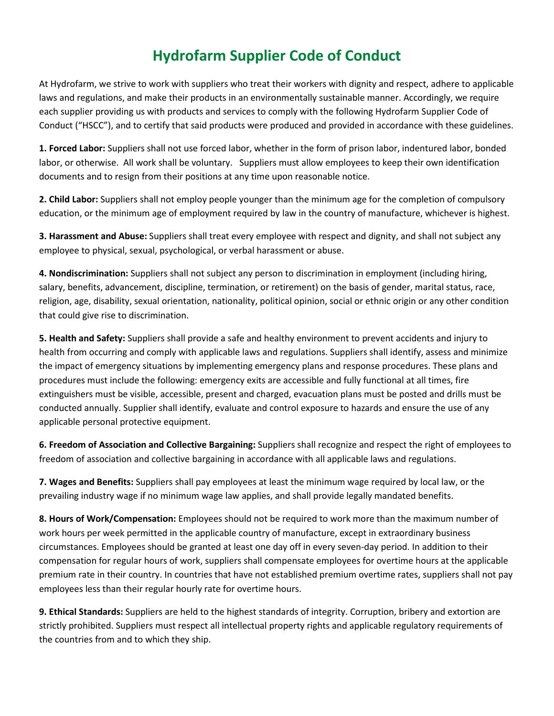## **Hydrofarm Supplier Code of Conduct**

At Hydrofarm, we strive to work with suppliers who treat their workers with dignity and respect, adhere to applicable laws and regulations, and make their products in an environmentally sustainable manner. Accordingly, we require each supplier providing us with products and services to comply with the following Hydrofarm Supplier Code of Conduct ("HSCC"), and to certify that said products were produced and provided in accordance with these guidelines.

**1. Forced Labor:** Suppliers shall not use forced labor, whether in the form of prison labor, indentured labor, bonded labor, or otherwise. All work shall be voluntary. Suppliers must allow employees to keep their own identification documents and to resign from their positions at any time upon reasonable notice.

**2. Child Labor:** Suppliers shall not employ people younger than the minimum age for the completion of compulsory education, or the minimum age of employment required by law in the country of manufacture, whichever is highest.

**3. Harassment and Abuse:** Suppliers shall treat every employee with respect and dignity, and shall not subject any employee to physical, sexual, psychological, or verbal harassment or abuse.

**4. Nondiscrimination:** Suppliers shall not subject any person to discrimination in employment (including hiring, salary, benefits, advancement, discipline, termination, or retirement) on the basis of gender, marital status, race, religion, age, disability, sexual orientation, nationality, political opinion, social or ethnic origin or any other condition that could give rise to discrimination.

**5. Health and Safety:** Suppliers shall provide a safe and healthy environment to prevent accidents and injury to health from occurring and comply with applicable laws and regulations. Suppliers shall identify, assess and minimize the impact of emergency situations by implementing emergency plans and response procedures. These plans and procedures must include the following: emergency exits are accessible and fully functional at all times, fire extinguishers must be visible, accessible, present and charged, evacuation plans must be posted and drills must be conducted annually. Supplier shall identify, evaluate and control exposure to hazards and ensure the use of any applicable personal protective equipment.

**6. Freedom of Association and Collective Bargaining:** Suppliers shall recognize and respect the right of employees to freedom of association and collective bargaining in accordance with all applicable laws and regulations.

**7. Wages and Benefits:** Suppliers shall pay employees at least the minimum wage required by local law, or the prevailing industry wage if no minimum wage law applies, and shall provide legally mandated benefits.

**8. Hours of Work/Compensation:** Employees should not be required to work more than the maximum number of work hours per week permitted in the applicable country of manufacture, except in extraordinary business circumstances. Employees should be granted at least one day off in every seven-day period. In addition to their compensation for regular hours of work, suppliers shall compensate employees for overtime hours at the applicable premium rate in their country. In countries that have not established premium overtime rates, suppliers shall not pay employees less than their regular hourly rate for overtime hours.

**9. Ethical Standards:** Suppliers are held to the highest standards of integrity. Corruption, bribery and extortion are strictly prohibited. Suppliers must respect all intellectual property rights and applicable regulatory requirements of the countries from and to which they ship.